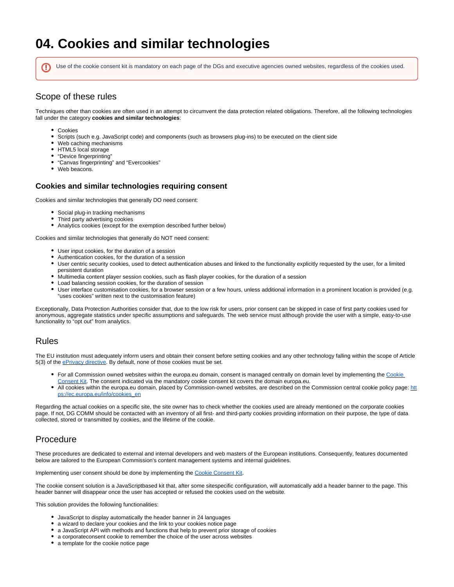# **04. Cookies and similar technologies**

Use of the cookie consent kit is mandatory on each page of the DGs and executive agencies owned websites, regardless of the cookies used.

### Scope of these rules

Techniques other than cookies are often used in an attempt to circumvent the data protection related obligations. Therefore, all the following technologies fall under the category **cookies and similar technologies**:

Cookies

⊕

- $\bullet$ Scripts (such e.g. JavaScript code) and components (such as browsers plug-ins) to be executed on the client side
- Web caching mechanisms
- HTML5 local storage
- "Device fingerprinting"
- "Canvas fingerprinting" and "Evercookies"
- Web beacons.

#### **Cookies and similar technologies requiring consent**

Cookies and similar technologies that generally DO need consent:

- **•** Social plug-in tracking mechanisms
- Third party advertising cookies
- Analytics cookies (except for the exemption described further below)

Cookies and similar technologies that generally do NOT need consent:

- User input cookies, for the duration of a session
- Authentication cookies, for the duration of a session
- User centric security cookies, used to detect authentication abuses and linked to the functionality explicitly requested by the user, for a limited persistent duration
- Multimedia content player session cookies, such as flash player cookies, for the duration of a session
- Load balancing session cookies, for the duration of session
- User interface customisation cookies, for a browser session or a few hours, unless additional information in a prominent location is provided (e.g. "uses cookies" written next to the customisation feature)

Exceptionally, Data Protection Authorities consider that, due to the low risk for users, prior consent can be skipped in case of first party cookies used for anonymous, aggregate statistics under specific assumptions and safeguards. The web service must although provide the user with a simple, easy-to-use functionality to "opt out" from analytics.

#### Rules

The EU institution must adequately inform users and obtain their consent before setting cookies and any other technology falling within the scope of Article 5(3) of the **ePrivacy directive**. By default, none of those cookies must be set.

- For all Commission owned websites within the europa.eu domain, consent is managed centrally on domain level by implementing the Cookie [Consent Kit.](https://webgate.ec.europa.eu/fpfis/wikis/display/webtools/Cookie+Consent+Kit) The consent indicated via the mandatory cookie consent kit covers the domain europa.eu.
- All cookies within the europa.eu domain, placed by Commission-owned websites, are described on the Commission central cookie policy page: [htt](https://ec.europa.eu/info/cookies_en) [ps://ec.europa.eu/info/cookies\\_en](https://ec.europa.eu/info/cookies_en)

Regarding the actual cookies on a specific site, the site owner has to check whether the cookies used are already mentioned on the corporate cookies page. If not, DG COMM should be contacted with an inventory of all first- and third-party cookies providing information on their purpose, the type of data collected, stored or transmitted by cookies, and the lifetime of the cookie.

## Procedure

These procedures are dedicated to external and internal developers and web masters of the European institutions. Consequently, features documented below are tailored to the European Commission's content management systems and internal guidelines.

Implementing user consent should be done by implementing the [Cookie Consent Kit.](https://webgate.ec.europa.eu/fpfis/wikis/display/webtools/Cookie+Consent+Kit)

The cookie consent solution is a JavaScriptbased kit that, after some sitespecific configuration, will automatically add a header banner to the page. This header banner will disappear once the user has accepted or refused the cookies used on the website.

This solution provides the following functionalities:

- JavaScript to display automatically the header banner in 24 languages
- a wizard to declare your cookies and the link to your cookies notice page
- a JavaScript API with methods and functions that help to prevent prior storage of cookies
- a corporateconsent cookie to remember the choice of the user across websites
- a template for the cookie notice page